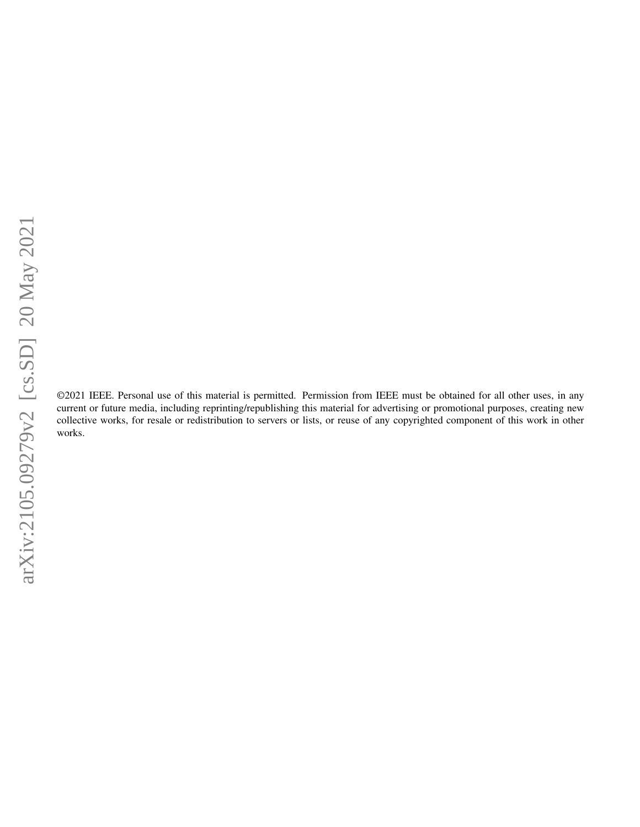©2021 IEEE. Personal use of this material is permitted. Permission from IEEE must be obtained for all other uses, in any current or future media, including reprinting/republishing this material for advertising or promotional purposes, creating new collective works, for resale or redistribution to servers or lists, or reuse of any copyrighted component of this work in other works.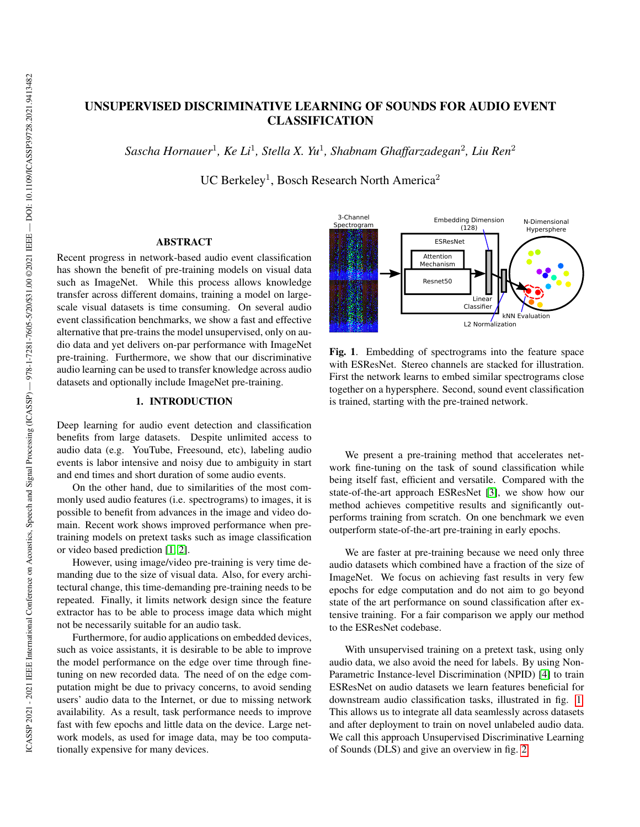# UNSUPERVISED DISCRIMINATIVE LEARNING OF SOUNDS FOR AUDIO EVENT CLASSIFICATION

 $Sascha Hornauer<sup>1</sup>, Ke Li<sup>1</sup>, Stella X. Yu<sup>1</sup>, Shabnam Ghaffarzadegan<sup>2</sup>, Liu Ren<sup>2</sup>$ 

UC Berkeley<sup>1</sup>, Bosch Research North America<sup>2</sup>

### ABSTRACT

Recent progress in network-based audio event classification has shown the benefit of pre-training models on visual data such as ImageNet. While this process allows knowledge transfer across different domains, training a model on largescale visual datasets is time consuming. On several audio event classification benchmarks, we show a fast and effective alternative that pre-trains the model unsupervised, only on audio data and yet delivers on-par performance with ImageNet pre-training. Furthermore, we show that our discriminative audio learning can be used to transfer knowledge across audio datasets and optionally include ImageNet pre-training.

### 1. INTRODUCTION

Deep learning for audio event detection and classification benefits from large datasets. Despite unlimited access to audio data (e.g. YouTube, Freesound, etc), labeling audio events is labor intensive and noisy due to ambiguity in start and end times and short duration of some audio events.

On the other hand, due to similarities of the most commonly used audio features (i.e. spectrograms) to images, it is possible to benefit from advances in the image and video domain. Recent work shows improved performance when pretraining models on pretext tasks such as image classification or video based prediction [\[1,](#page-5-0) [2\]](#page-5-1).

However, using image/video pre-training is very time demanding due to the size of visual data. Also, for every architectural change, this time-demanding pre-training needs to be repeated. Finally, it limits network design since the feature extractor has to be able to process image data which might not be necessarily suitable for an audio task.

Furthermore, for audio applications on embedded devices, such as voice assistants, it is desirable to be able to improve the model performance on the edge over time through finetuning on new recorded data. The need of on the edge computation might be due to privacy concerns, to avoid sending users' audio data to the Internet, or due to missing network availability. As a result, task performance needs to improve fast with few epochs and little data on the device. Large network models, as used for image data, may be too computationally expensive for many devices.



<span id="page-1-0"></span>Fig. 1. Embedding of spectrograms into the feature space with ESResNet. Stereo channels are stacked for illustration. First the network learns to embed similar spectrograms close together on a hypersphere. Second, sound event classification is trained, starting with the pre-trained network.

We present a pre-training method that accelerates network fine-tuning on the task of sound classification while being itself fast, efficient and versatile. Compared with the state-of-the-art approach ESResNet [\[3\]](#page-5-2), we show how our method achieves competitive results and significantly outperforms training from scratch. On one benchmark we even outperform state-of-the-art pre-training in early epochs.

We are faster at pre-training because we need only three audio datasets which combined have a fraction of the size of ImageNet. We focus on achieving fast results in very few epochs for edge computation and do not aim to go beyond state of the art performance on sound classification after extensive training. For a fair comparison we apply our method to the ESResNet codebase.

With unsupervised training on a pretext task, using only audio data, we also avoid the need for labels. By using Non-Parametric Instance-level Discrimination (NPID) [\[4\]](#page-5-3) to train ESResNet on audio datasets we learn features beneficial for downstream audio classification tasks, illustrated in fig. [1.](#page-1-0) This allows us to integrate all data seamlessly across datasets and after deployment to train on novel unlabeled audio data. We call this approach Unsupervised Discriminative Learning of Sounds (DLS) and give an overview in fig. [2.](#page-2-0)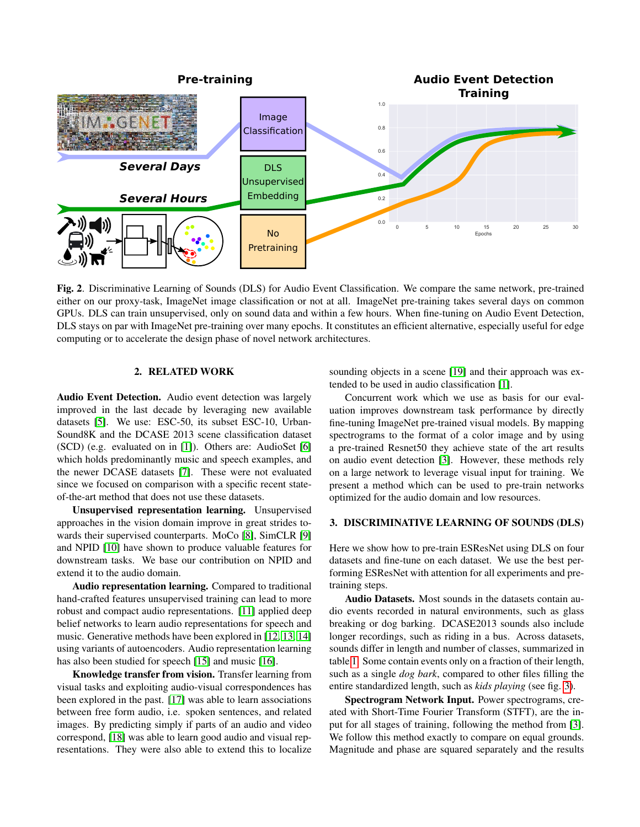

<span id="page-2-0"></span>Fig. 2. Discriminative Learning of Sounds (DLS) for Audio Event Classification. We compare the same network, pre-trained either on our proxy-task, ImageNet image classification or not at all. ImageNet pre-training takes several days on common GPUs. DLS can train unsupervised, only on sound data and within a few hours. When fine-tuning on Audio Event Detection, DLS stays on par with ImageNet pre-training over many epochs. It constitutes an efficient alternative, especially useful for edge computing or to accelerate the design phase of novel network architectures.

### 2. RELATED WORK

Audio Event Detection. Audio event detection was largely improved in the last decade by leveraging new available datasets [\[5\]](#page-5-4). We use: ESC-50, its subset ESC-10, Urban-Sound8K and the DCASE 2013 scene classification dataset (SCD) (e.g. evaluated on in [\[1\]](#page-5-0)). Others are: AudioSet [\[6\]](#page-5-5) which holds predominantly music and speech examples, and the newer DCASE datasets [\[7\]](#page-5-6). These were not evaluated since we focused on comparison with a specific recent stateof-the-art method that does not use these datasets.

Unsupervised representation learning. Unsupervised approaches in the vision domain improve in great strides towards their supervised counterparts. MoCo [\[8\]](#page-5-7), SimCLR [\[9\]](#page-5-8) and NPID [\[10\]](#page-5-9) have shown to produce valuable features for downstream tasks. We base our contribution on NPID and extend it to the audio domain.

Audio representation learning. Compared to traditional hand-crafted features unsupervised training can lead to more robust and compact audio representations. [\[11\]](#page-5-10) applied deep belief networks to learn audio representations for speech and music. Generative methods have been explored in [\[12,](#page-5-11) [13,](#page-5-12) [14\]](#page-5-13) using variants of autoencoders. Audio representation learning has also been studied for speech [\[15\]](#page-5-14) and music [\[16\]](#page-5-15).

Knowledge transfer from vision. Transfer learning from visual tasks and exploiting audio-visual correspondences has been explored in the past. [\[17\]](#page-5-16) was able to learn associations between free form audio, i.e. spoken sentences, and related images. By predicting simply if parts of an audio and video correspond, [\[18\]](#page-5-17) was able to learn good audio and visual representations. They were also able to extend this to localize sounding objects in a scene [\[19\]](#page-5-18) and their approach was extended to be used in audio classification [\[1\]](#page-5-0).

Concurrent work which we use as basis for our evaluation improves downstream task performance by directly fine-tuning ImageNet pre-trained visual models. By mapping spectrograms to the format of a color image and by using a pre-trained Resnet50 they achieve state of the art results on audio event detection [\[3\]](#page-5-2). However, these methods rely on a large network to leverage visual input for training. We present a method which can be used to pre-train networks optimized for the audio domain and low resources.

### 3. DISCRIMINATIVE LEARNING OF SOUNDS (DLS)

Here we show how to pre-train ESResNet using DLS on four datasets and fine-tune on each dataset. We use the best performing ESResNet with attention for all experiments and pretraining steps.

Audio Datasets. Most sounds in the datasets contain audio events recorded in natural environments, such as glass breaking or dog barking. DCASE2013 sounds also include longer recordings, such as riding in a bus. Across datasets, sounds differ in length and number of classes, summarized in table [1.](#page-3-0) Some contain events only on a fraction of their length, such as a single *dog bark*, compared to other files filling the entire standardized length, such as *kids playing* (see fig. [3\)](#page-3-1).

Spectrogram Network Input. Power spectrograms, created with Short-Time Fourier Transform (STFT), are the input for all stages of training, following the method from [\[3\]](#page-5-2). We follow this method exactly to compare on equal grounds. Magnitude and phase are squared separately and the results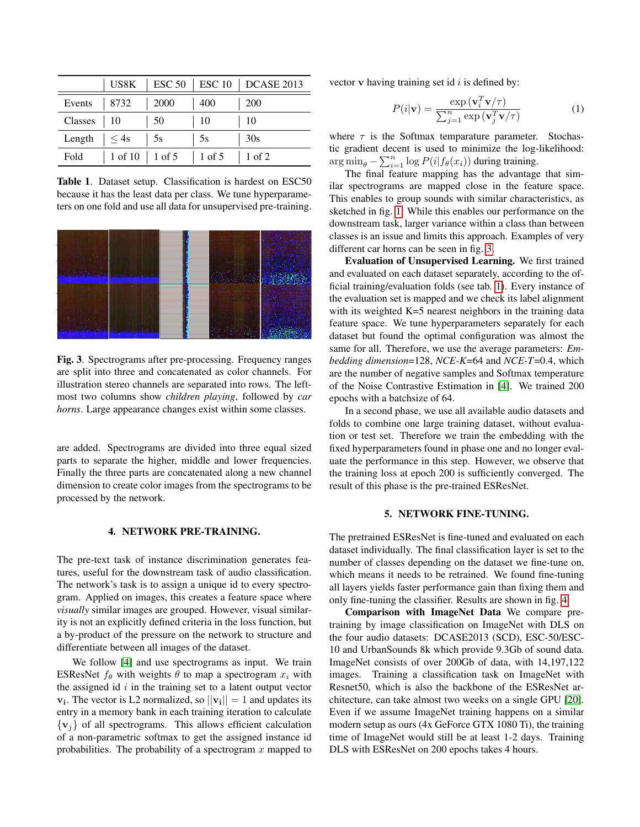|                  | US8K                           |      |                | $\text{ESC }$ 50 $\mid$ ESC 10 $\mid$ DCASE 2013 |
|------------------|--------------------------------|------|----------------|--------------------------------------------------|
| Events           | 8732                           | 2000 | 400            | <b>200</b>                                       |
| $\text{Classes}$ | 10                             | 50   | 10             | 10                                               |
| Length           | $\vert \leq 4s$                | 5s   | 5s             | 30s                                              |
| Fold             | $\vert 1$ of 10 $\vert 1$ of 5 |      | $\vert$ 1 of 5 | 1 of 2                                           |

<span id="page-3-0"></span>Table 1. Dataset setup. Classification is hardest on ESC50 because it has the least data per class. We tune hyperparameters on one fold and use all data for unsupervised pre-training.



<span id="page-3-1"></span>Fig. 3. Spectrograms after pre-processing. Frequency ranges are split into three and concatenated as color channels. For illustration stereo channels are separated into rows. The leftmost two columns show *children playing*, followed by *car horns*. Large appearance changes exist within some classes.

are added. Spectrograms are divided into three equal sized parts to separate the higher, middle and lower frequencies. Finally the three parts are concatenated along a new channel dimension to create color images from the spectrograms to be processed by the network.

#### 4. NETWORK PRE-TRAINING.

The pre-text task of instance discrimination generates features, useful for the downstream task of audio classification. The network's task is to assign a unique id to every spectrogram. Applied on images, this creates a feature space where *visually* similar images are grouped. However, visual similarity is not an explicitly defined criteria in the loss function, but a by-product of the pressure on the network to structure and differentiate between all images of the dataset.

We follow [\[4\]](#page-5-3) and use spectrograms as input. We train ESResNet  $f_{\theta}$  with weights  $\theta$  to map a spectrogram  $x_i$  with the assigned id  $i$  in the training set to a latent output vector  $v_i$ . The vector is L2 normalized, so  $||v_i|| = 1$  and updates its entry in a memory bank in each training iteration to calculate  ${v_j}$  of all spectrograms. This allows efficient calculation of a non-parametric softmax to get the assigned instance id probabilities. The probability of a spectrogram  $x$  mapped to

vector  $\bf{v}$  having training set id i is defined by:

$$
P(i|\mathbf{v}) = \frac{\exp(\mathbf{v}_i^T \mathbf{v}/\tau)}{\sum_{j=1}^n \exp(\mathbf{v}_j^T \mathbf{v}/\tau)}
$$
(1)

where  $\tau$  is the Softmax temparature parameter. Stochastic gradient decent is used to minimize the log-likelihood:  $\arg \min_{\theta} - \sum_{i=1}^{n} \log P(i|f_{\theta}(x_i))$  during training.

The final feature mapping has the advantage that similar spectrograms are mapped close in the feature space. This enables to group sounds with similar characteristics, as sketched in fig. [1.](#page-1-0) While this enables our performance on the downstream task, larger variance within a class than between classes is an issue and limits this approach. Examples of very different car horns can be seen in fig. [3.](#page-3-1)

Evaluation of Unsupervised Learning. We first trained and evaluated on each dataset separately, according to the official training/evaluation folds (see tab. [1\)](#page-3-0). Every instance of the evaluation set is mapped and we check its label alignment with its weighted K=5 nearest neighbors in the training data feature space. We tune hyperparameters separately for each dataset but found the optimal configuration was almost the same for all. Therefore, we use the average parameters: *Embedding dimension*=128, *NCE-K*=64 and *NCE-T*=0.4, which are the number of negative samples and Softmax temperature of the Noise Contrastive Estimation in [\[4\]](#page-5-3). We trained 200 epochs with a batchsize of 64.

In a second phase, we use all available audio datasets and folds to combine one large training dataset, without evaluation or test set. Therefore we train the embedding with the fixed hyperparameters found in phase one and no longer evaluate the performance in this step. However, we observe that the training loss at epoch 200 is sufficiently converged. The result of this phase is the pre-trained ESResNet.

### 5. NETWORK FINE-TUNING.

The pretrained ESResNet is fine-tuned and evaluated on each dataset individually. The final classification layer is set to the number of classes depending on the dataset we fine-tune on, which means it needs to be retrained. We found fine-tuning all layers yields faster performance gain than fixing them and only fine-tuning the classifier. Results are shown in fig. [4.](#page-4-0)

Comparison with ImageNet Data We compare pretraining by image classification on ImageNet with DLS on the four audio datasets: DCASE2013 (SCD), ESC-50/ESC-10 and UrbanSounds 8k which provide 9.3Gb of sound data. ImageNet consists of over 200Gb of data, with 14,197,122 images. Training a classification task on ImageNet with Resnet50, which is also the backbone of the ESResNet architecture, can take almost two weeks on a single GPU [\[20\]](#page-5-19). Even if we assume ImageNet training happens on a similar modern setup as ours (4x GeForce GTX 1080 Ti), the training time of ImageNet would still be at least 1-2 days. Training DLS with ESResNet on 200 epochs takes 4 hours.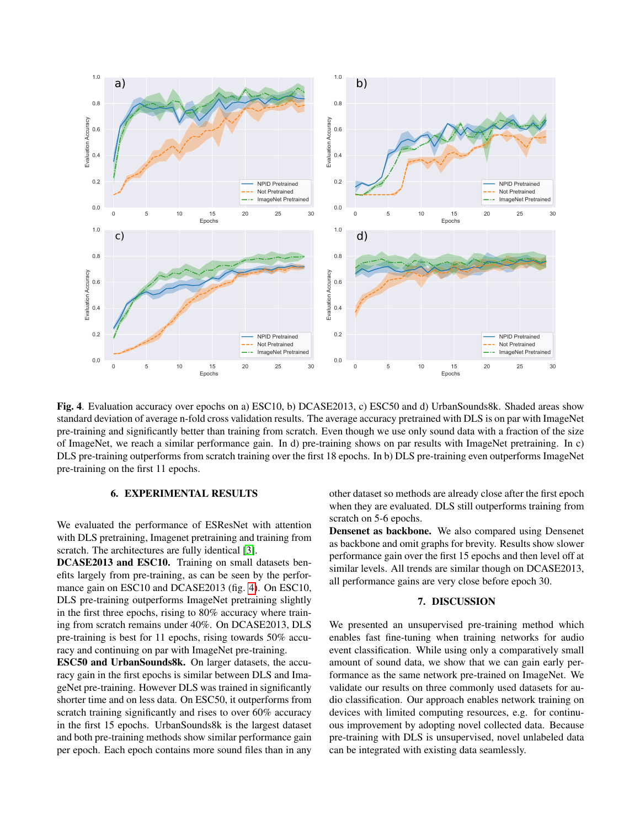

<span id="page-4-0"></span>Fig. 4. Evaluation accuracy over epochs on a) ESC10, b) DCASE2013, c) ESC50 and d) UrbanSounds8k. Shaded areas show standard deviation of average n-fold cross validation results. The average accuracy pretrained with DLS is on par with ImageNet pre-training and significantly better than training from scratch. Even though we use only sound data with a fraction of the size of ImageNet, we reach a similar performance gain. In d) pre-training shows on par results with ImageNet pretraining. In c) DLS pre-training outperforms from scratch training over the first 18 epochs. In b) DLS pre-training even outperforms ImageNet pre-training on the first 11 epochs.

# 6. EXPERIMENTAL RESULTS

We evaluated the performance of ESResNet with attention with DLS pretraining, Imagenet pretraining and training from scratch. The architectures are fully identical [\[3\]](#page-5-2).

DCASE2013 and ESC10. Training on small datasets benefits largely from pre-training, as can be seen by the perfor-mance gain on ESC10 and DCASE2013 (fig. [4\)](#page-4-0). On ESC10, DLS pre-training outperforms ImageNet pretraining slightly in the first three epochs, rising to 80% accuracy where training from scratch remains under 40%. On DCASE2013, DLS pre-training is best for 11 epochs, rising towards 50% accuracy and continuing on par with ImageNet pre-training.

ESC50 and UrbanSounds8k. On larger datasets, the accuracy gain in the first epochs is similar between DLS and ImageNet pre-training. However DLS was trained in significantly shorter time and on less data. On ESC50, it outperforms from scratch training significantly and rises to over 60% accuracy in the first 15 epochs. UrbanSounds8k is the largest dataset and both pre-training methods show similar performance gain per epoch. Each epoch contains more sound files than in any

other dataset so methods are already close after the first epoch when they are evaluated. DLS still outperforms training from scratch on 5-6 epochs.

Densenet as backbone. We also compared using Densenet as backbone and omit graphs for brevity. Results show slower performance gain over the first 15 epochs and then level off at similar levels. All trends are similar though on DCASE2013, all performance gains are very close before epoch 30.

# 7. DISCUSSION

We presented an unsupervised pre-training method which enables fast fine-tuning when training networks for audio event classification. While using only a comparatively small amount of sound data, we show that we can gain early performance as the same network pre-trained on ImageNet. We validate our results on three commonly used datasets for audio classification. Our approach enables network training on devices with limited computing resources, e.g. for continuous improvement by adopting novel collected data. Because pre-training with DLS is unsupervised, novel unlabeled data can be integrated with existing data seamlessly.